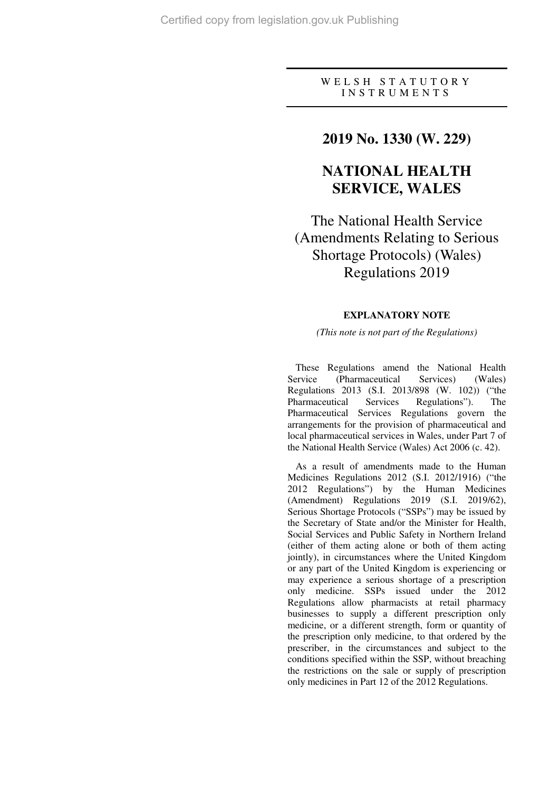### W E L S H S T A T U T O R Y I N S T R U M E N T S

## **2019 No. 1330 (W. 229)**

# **NATIONAL HEALTH SERVICE, WALES**

The National Health Service (Amendments Relating to Serious Shortage Protocols) (Wales) Regulations 2019

### **EXPLANATORY NOTE**

#### *(This note is not part of the Regulations)*

These Regulations amend the National Health Service (Pharmaceutical Services) (Wales) Regulations 2013 (S.I. 2013/898 (W. 102)) ("the Pharmaceutical Services Regulations"). The Pharmaceutical Services Regulations govern the arrangements for the provision of pharmaceutical and local pharmaceutical services in Wales, under Part 7 of the National Health Service (Wales) Act 2006 (c. 42).

As a result of amendments made to the Human Medicines Regulations 2012 (S.I. 2012/1916) ("the 2012 Regulations") by the Human Medicines (Amendment) Regulations 2019 (S.I. 2019/62), Serious Shortage Protocols ("SSPs") may be issued by the Secretary of State and/or the Minister for Health, Social Services and Public Safety in Northern Ireland (either of them acting alone or both of them acting jointly), in circumstances where the United Kingdom or any part of the United Kingdom is experiencing or may experience a serious shortage of a prescription only medicine. SSPs issued under the 2012 Regulations allow pharmacists at retail pharmacy businesses to supply a different prescription only medicine, or a different strength, form or quantity of the prescription only medicine, to that ordered by the prescriber, in the circumstances and subject to the conditions specified within the SSP, without breaching the restrictions on the sale or supply of prescription only medicines in Part 12 of the 2012 Regulations.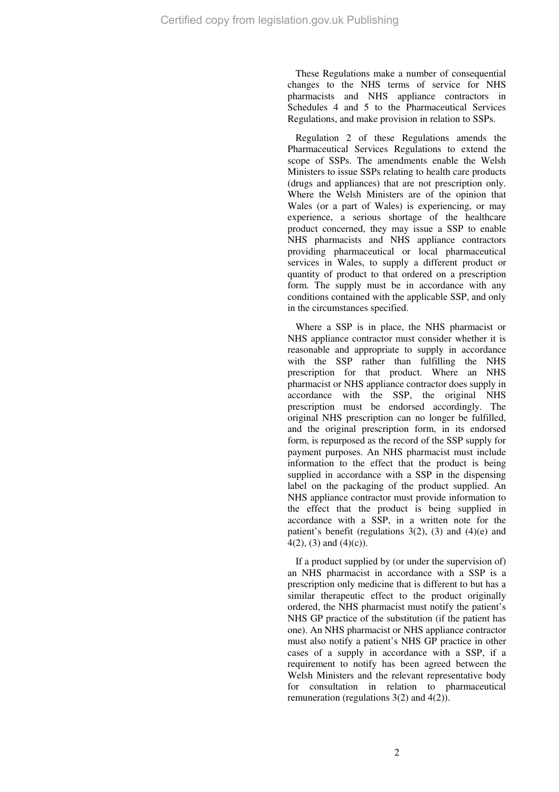These Regulations make a number of consequential changes to the NHS terms of service for NHS pharmacists and NHS appliance contractors in Schedules 4 and 5 to the Pharmaceutical Services Regulations, and make provision in relation to SSPs.

Regulation 2 of these Regulations amends the Pharmaceutical Services Regulations to extend the scope of SSPs. The amendments enable the Welsh Ministers to issue SSPs relating to health care products (drugs and appliances) that are not prescription only. Where the Welsh Ministers are of the opinion that Wales (or a part of Wales) is experiencing, or may experience, a serious shortage of the healthcare product concerned, they may issue a SSP to enable NHS pharmacists and NHS appliance contractors providing pharmaceutical or local pharmaceutical services in Wales, to supply a different product or quantity of product to that ordered on a prescription form. The supply must be in accordance with any conditions contained with the applicable SSP, and only in the circumstances specified.

Where a SSP is in place, the NHS pharmacist or NHS appliance contractor must consider whether it is reasonable and appropriate to supply in accordance with the SSP rather than fulfilling the NHS prescription for that product. Where an NHS pharmacist or NHS appliance contractor does supply in accordance with the SSP, the original NHS prescription must be endorsed accordingly. The original NHS prescription can no longer be fulfilled, and the original prescription form, in its endorsed form, is repurposed as the record of the SSP supply for payment purposes. An NHS pharmacist must include information to the effect that the product is being supplied in accordance with a SSP in the dispensing label on the packaging of the product supplied. An NHS appliance contractor must provide information to the effect that the product is being supplied in accordance with a SSP, in a written note for the patient's benefit (regulations  $3(2)$ ,  $(3)$  and  $(4)(e)$  and  $4(2)$ , (3) and (4)(c)).

If a product supplied by (or under the supervision of) an NHS pharmacist in accordance with a SSP is a prescription only medicine that is different to but has a similar therapeutic effect to the product originally ordered, the NHS pharmacist must notify the patient's NHS GP practice of the substitution (if the patient has one). An NHS pharmacist or NHS appliance contractor must also notify a patient's NHS GP practice in other cases of a supply in accordance with a SSP, if a requirement to notify has been agreed between the Welsh Ministers and the relevant representative body for consultation in relation to pharmaceutical remuneration (regulations  $3(2)$  and  $4(2)$ ).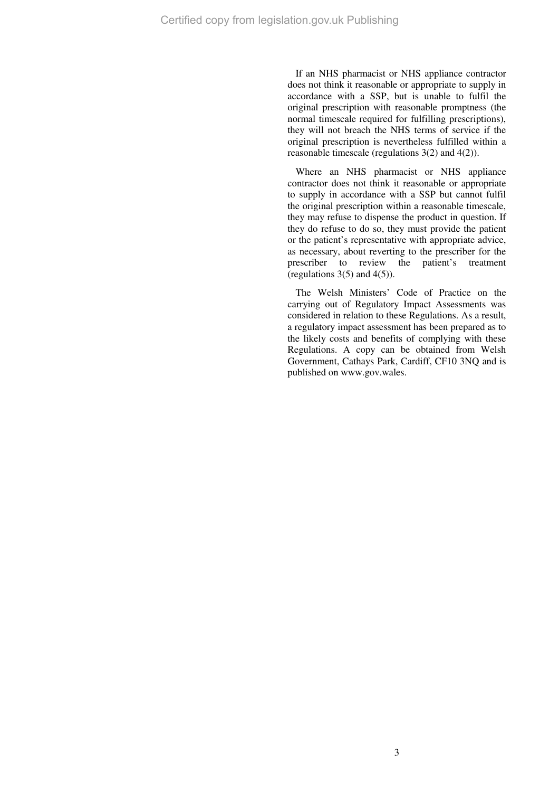If an NHS pharmacist or NHS appliance contractor does not think it reasonable or appropriate to supply in accordance with a SSP, but is unable to fulfil the original prescription with reasonable promptness (the normal timescale required for fulfilling prescriptions), they will not breach the NHS terms of service if the original prescription is nevertheless fulfilled within a reasonable timescale (regulations 3(2) and 4(2)).

Where an NHS pharmacist or NHS appliance contractor does not think it reasonable or appropriate to supply in accordance with a SSP but cannot fulfil the original prescription within a reasonable timescale, they may refuse to dispense the product in question. If they do refuse to do so, they must provide the patient or the patient's representative with appropriate advice, as necessary, about reverting to the prescriber for the prescriber to review the patient's treatment (regulations  $3(5)$  and  $4(5)$ ).

The Welsh Ministers' Code of Practice on the carrying out of Regulatory Impact Assessments was considered in relation to these Regulations. As a result, a regulatory impact assessment has been prepared as to the likely costs and benefits of complying with these Regulations. A copy can be obtained from Welsh Government, Cathays Park, Cardiff, CF10 3NQ and is published on www.gov.wales.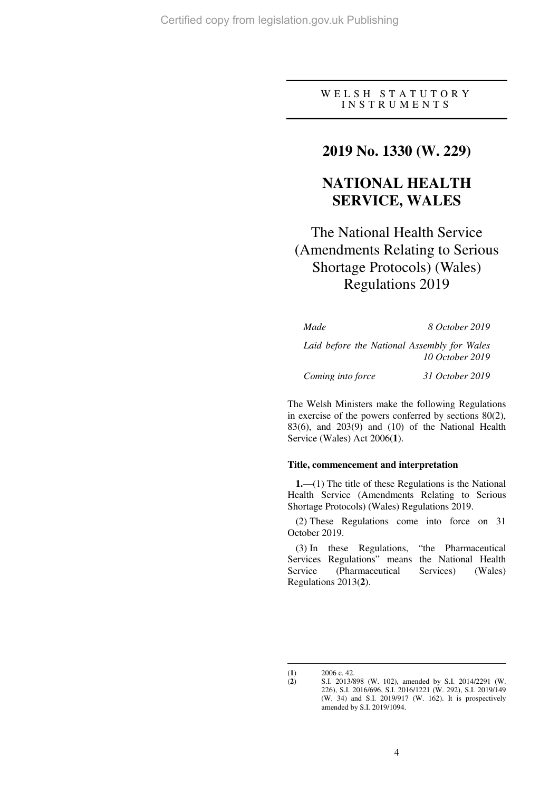WELSH STATUTORY I N S T R U M E N T S

## **2019 No. 1330 (W. 229)**

# **NATIONAL HEALTH SERVICE, WALES**

# The National Health Service (Amendments Relating to Serious Shortage Protocols) (Wales) Regulations 2019

*Made 8 October 2019* 

*Laid before the National Assembly for Wales 10 October 2019* 

*Coming into force 31 October 2019* 

The Welsh Ministers make the following Regulations in exercise of the powers conferred by sections 80(2), 83(6), and 203(9) and (10) of the National Health Service (Wales) Act 2006(**1**).

### **Title, commencement and interpretation**

**1.**—(1) The title of these Regulations is the National Health Service (Amendments Relating to Serious Shortage Protocols) (Wales) Regulations 2019.

(2) These Regulations come into force on 31 October 2019.

(3) In these Regulations, "the Pharmaceutical Services Regulations" means the National Health Service (Pharmaceutical Services) (Wales) Regulations 2013(**2**).

 $\overline{a}$ 

<sup>(</sup>**1**)  $2006 \text{ c. } 42.$ <br>(**2**)  $S.I. 2013/8$ 

<sup>(</sup>**2**) S.I. 2013/898 (W. 102), amended by S.I. 2014/2291 (W. 226), S.I. 2016/696, S.I. 2016/1221 (W. 292), S.I. 2019/149 (W. 34) and S.I. 2019/917 (W. 162). It is prospectively amended by S.I. 2019/1094.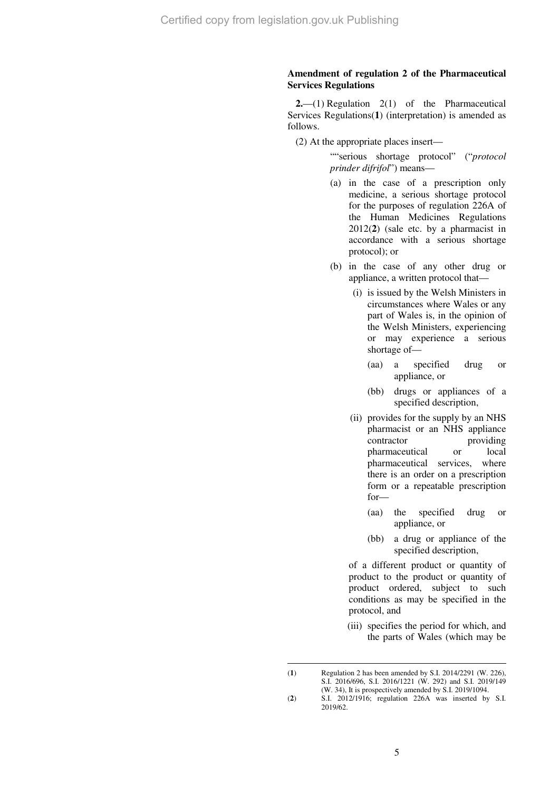### **Amendment of regulation 2 of the Pharmaceutical Services Regulations**

**2.**—(1) Regulation 2(1) of the Pharmaceutical Services Regulations(**1**) (interpretation) is amended as follows.

(2) At the appropriate places insert—

""serious shortage protocol" ("*protocol prinder difrifol*") means—

- (a) in the case of a prescription only medicine, a serious shortage protocol for the purposes of regulation 226A of the Human Medicines Regulations 2012(**2**) (sale etc. by a pharmacist in accordance with a serious shortage protocol); or
- (b) in the case of any other drug or appliance, a written protocol that—
	- (i) is issued by the Welsh Ministers in circumstances where Wales or any part of Wales is, in the opinion of the Welsh Ministers, experiencing or may experience a serious shortage of—
		- (aa) a specified drug or appliance, or
		- (bb) drugs or appliances of a specified description,
	- (ii) provides for the supply by an NHS pharmacist or an NHS appliance contractor providing pharmaceutical or local pharmaceutical services, where there is an order on a prescription form or a repeatable prescription for—
		- (aa) the specified drug or appliance, or
		- (bb) a drug or appliance of the specified description,

of a different product or quantity of product to the product or quantity of product ordered, subject to such conditions as may be specified in the protocol, and

 (iii) specifies the period for which, and the parts of Wales (which may be

 $(1)$ (**1**) Regulation 2 has been amended by S.I. 2014/2291 (W. 226), S.I. 2016/696, S.I. 2016/1221 (W. 292) and S.I. 2019/149 (W. 34), It is prospectively amended by S.I. 2019/1094.

<sup>(</sup>**2**) S.I. 2012/1916; regulation 226A was inserted by S.I. 2019/62.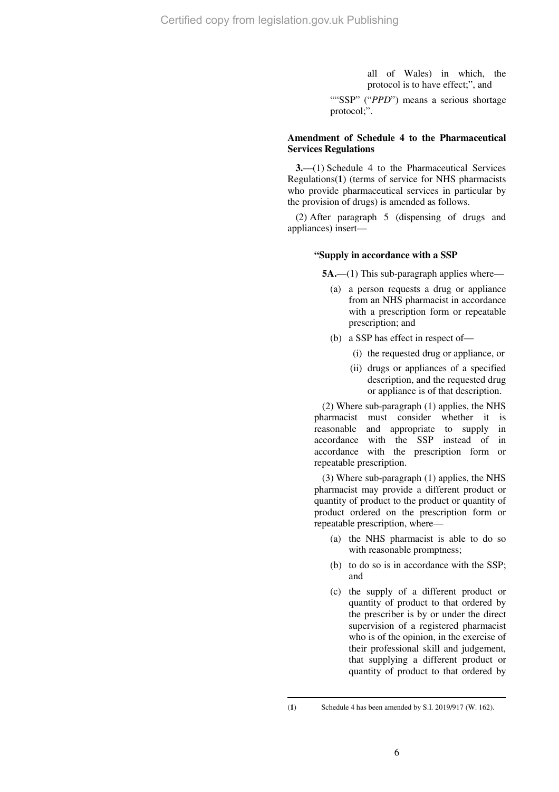all of Wales) in which, the protocol is to have effect;", and

""SSP" ("*PPD*") means a serious shortage protocol;".

### **Amendment of Schedule 4 to the Pharmaceutical Services Regulations**

**3.**—(1) Schedule 4 to the Pharmaceutical Services Regulations(**1**) (terms of service for NHS pharmacists who provide pharmaceutical services in particular by the provision of drugs) is amended as follows.

(2) After paragraph 5 (dispensing of drugs and appliances) insert—

#### **"Supply in accordance with a SSP**

**5A.—(1)** This sub-paragraph applies where—

- (a) a person requests a drug or appliance from an NHS pharmacist in accordance with a prescription form or repeatable prescription; and
- (b) a SSP has effect in respect of—
	- (i) the requested drug or appliance, or
	- (ii) drugs or appliances of a specified description, and the requested drug or appliance is of that description.

(2) Where sub-paragraph (1) applies, the NHS pharmacist must consider whether it is reasonable and appropriate to supply in accordance with the SSP instead of in accordance with the prescription form or repeatable prescription.

(3) Where sub-paragraph (1) applies, the NHS pharmacist may provide a different product or quantity of product to the product or quantity of product ordered on the prescription form or repeatable prescription, where—

- (a) the NHS pharmacist is able to do so with reasonable promptness;
- (b) to do so is in accordance with the SSP; and
- (c) the supply of a different product or quantity of product to that ordered by the prescriber is by or under the direct supervision of a registered pharmacist who is of the opinion, in the exercise of their professional skill and judgement, that supplying a different product or quantity of product to that ordered by

 $\overline{a}$ 

<sup>(</sup>**1**) Schedule 4 has been amended by S.I. 2019/917 (W. 162).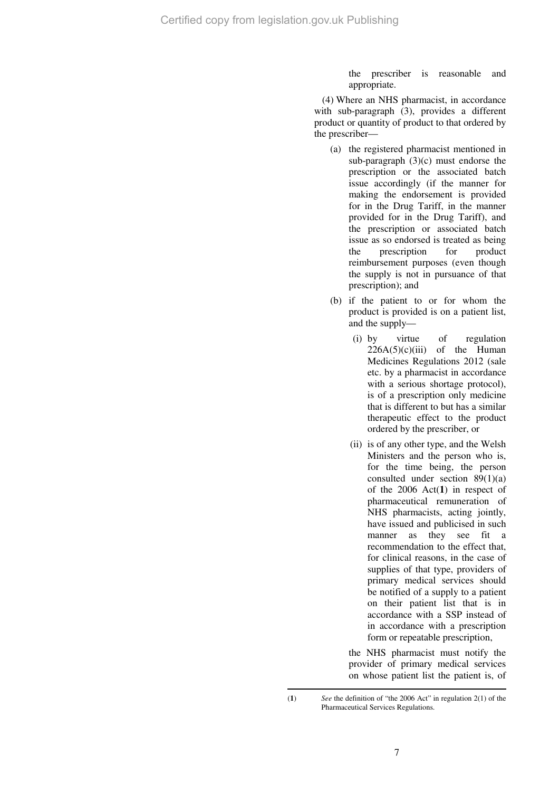the prescriber is reasonable and appropriate.

(4) Where an NHS pharmacist, in accordance with sub-paragraph (3), provides a different product or quantity of product to that ordered by the prescriber—

- (a) the registered pharmacist mentioned in sub-paragraph (3)(c) must endorse the prescription or the associated batch issue accordingly (if the manner for making the endorsement is provided for in the Drug Tariff, in the manner provided for in the Drug Tariff), and the prescription or associated batch issue as so endorsed is treated as being the prescription for product reimbursement purposes (even though the supply is not in pursuance of that prescription); and
- (b) if the patient to or for whom the product is provided is on a patient list, and the supply—
	- (i) by virtue of regulation  $226A(5)(c)(iii)$  of the Human Medicines Regulations 2012 (sale etc. by a pharmacist in accordance with a serious shortage protocol), is of a prescription only medicine that is different to but has a similar therapeutic effect to the product ordered by the prescriber, or
	- (ii) is of any other type, and the Welsh Ministers and the person who is, for the time being, the person consulted under section 89(1)(a) of the 2006 Act(**1**) in respect of pharmaceutical remuneration of NHS pharmacists, acting jointly, have issued and publicised in such manner as they see fit a recommendation to the effect that, for clinical reasons, in the case of supplies of that type, providers of primary medical services should be notified of a supply to a patient on their patient list that is in accordance with a SSP instead of in accordance with a prescription form or repeatable prescription,

the NHS pharmacist must notify the provider of primary medical services on whose patient list the patient is, of

<sup>(</sup>**1**) *See* the definition of "the 2006 Act" in regulation 2(1) of the Pharmaceutical Services Regulations.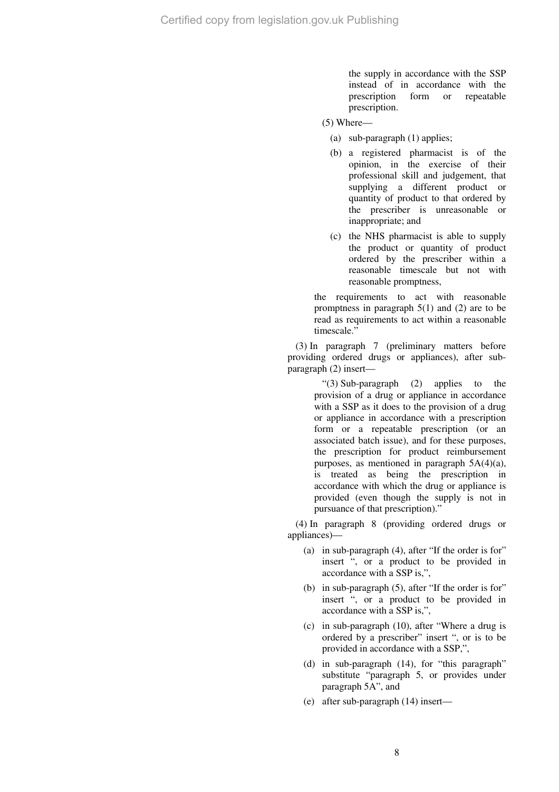the supply in accordance with the SSP instead of in accordance with the prescription form or repeatable prescription.

- (5) Where—
	- (a) sub-paragraph (1) applies;
	- (b) a registered pharmacist is of the opinion, in the exercise of their professional skill and judgement, that supplying a different product or quantity of product to that ordered by the prescriber is unreasonable or inappropriate; and
	- (c) the NHS pharmacist is able to supply the product or quantity of product ordered by the prescriber within a reasonable timescale but not with reasonable promptness,

the requirements to act with reasonable promptness in paragraph 5(1) and (2) are to be read as requirements to act within a reasonable timescale."

(3) In paragraph 7 (preliminary matters before providing ordered drugs or appliances), after subparagraph (2) insert—

> "(3) Sub-paragraph (2) applies to the provision of a drug or appliance in accordance with a SSP as it does to the provision of a drug or appliance in accordance with a prescription form or a repeatable prescription (or an associated batch issue), and for these purposes, the prescription for product reimbursement purposes, as mentioned in paragraph 5A(4)(a), is treated as being the prescription in accordance with which the drug or appliance is provided (even though the supply is not in pursuance of that prescription)."

(4) In paragraph 8 (providing ordered drugs or appliances)—

- (a) in sub-paragraph (4), after "If the order is for" insert ", or a product to be provided in accordance with a SSP is,",
- (b) in sub-paragraph (5), after "If the order is for" insert ", or a product to be provided in accordance with a SSP is,",
- (c) in sub-paragraph (10), after "Where a drug is ordered by a prescriber" insert ", or is to be provided in accordance with a SSP,",
- (d) in sub-paragraph (14), for "this paragraph" substitute "paragraph 5, or provides under paragraph 5A", and
- (e) after sub-paragraph (14) insert—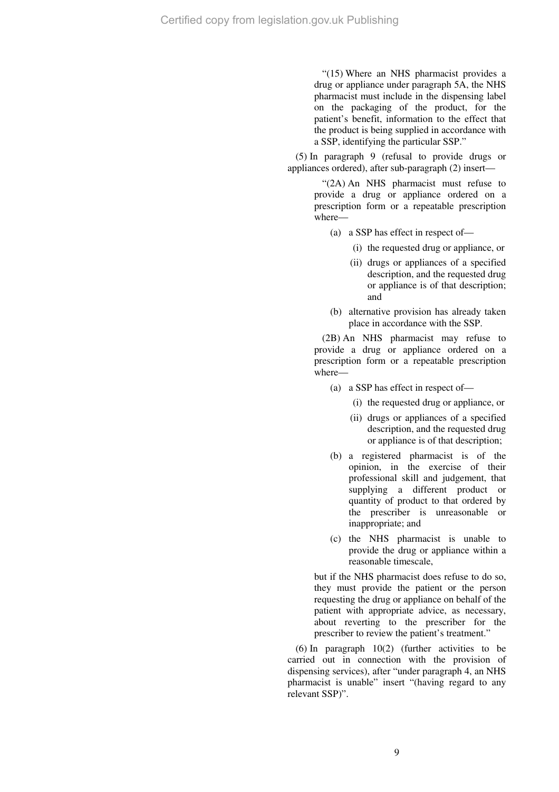"(15) Where an NHS pharmacist provides a drug or appliance under paragraph 5A, the NHS pharmacist must include in the dispensing label on the packaging of the product, for the patient's benefit, information to the effect that the product is being supplied in accordance with a SSP, identifying the particular SSP."

(5) In paragraph 9 (refusal to provide drugs or appliances ordered), after sub-paragraph (2) insert—

> "(2A) An NHS pharmacist must refuse to provide a drug or appliance ordered on a prescription form or a repeatable prescription where—

- (a) a SSP has effect in respect of—
	- (i) the requested drug or appliance, or
	- (ii) drugs or appliances of a specified description, and the requested drug or appliance is of that description; and
- (b) alternative provision has already taken place in accordance with the SSP.

(2B) An NHS pharmacist may refuse to provide a drug or appliance ordered on a prescription form or a repeatable prescription where—

- (a) a SSP has effect in respect of—
	- (i) the requested drug or appliance, or
	- (ii) drugs or appliances of a specified description, and the requested drug or appliance is of that description;
- (b) a registered pharmacist is of the opinion, in the exercise of their professional skill and judgement, that supplying a different product or quantity of product to that ordered by the prescriber is unreasonable or inappropriate; and
- (c) the NHS pharmacist is unable to provide the drug or appliance within a reasonable timescale,

but if the NHS pharmacist does refuse to do so, they must provide the patient or the person requesting the drug or appliance on behalf of the patient with appropriate advice, as necessary, about reverting to the prescriber for the prescriber to review the patient's treatment."

(6) In paragraph 10(2) (further activities to be carried out in connection with the provision of dispensing services), after "under paragraph 4, an NHS pharmacist is unable" insert "(having regard to any relevant SSP)".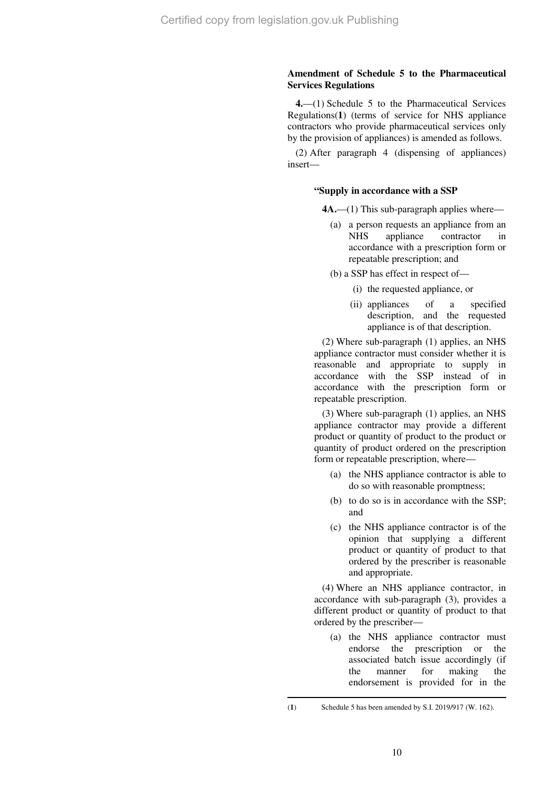### **Amendment of Schedule 5 to the Pharmaceutical Services Regulations**

**4.**—(1) Schedule 5 to the Pharmaceutical Services Regulations(**1**) (terms of service for NHS appliance contractors who provide pharmaceutical services only by the provision of appliances) is amended as follows.

(2) After paragraph 4 (dispensing of appliances) insert—

### **"Supply in accordance with a SSP**

**4A.**—(1) This sub-paragraph applies where—

- (a) a person requests an appliance from an NHS appliance contractor in accordance with a prescription form or repeatable prescription; and
- (b) a SSP has effect in respect of—
	- (i) the requested appliance, or
	- (ii) appliances of a specified description, and the requested appliance is of that description.

(2) Where sub-paragraph (1) applies, an NHS appliance contractor must consider whether it is reasonable and appropriate to supply in accordance with the SSP instead of in accordance with the prescription form or repeatable prescription.

(3) Where sub-paragraph (1) applies, an NHS appliance contractor may provide a different product or quantity of product to the product or quantity of product ordered on the prescription form or repeatable prescription, where—

- (a) the NHS appliance contractor is able to do so with reasonable promptness;
- (b) to do so is in accordance with the SSP; and
- (c) the NHS appliance contractor is of the opinion that supplying a different product or quantity of product to that ordered by the prescriber is reasonable and appropriate.

(4) Where an NHS appliance contractor, in accordance with sub-paragraph (3), provides a different product or quantity of product to that ordered by the prescriber—

(a) the NHS appliance contractor must endorse the prescription or the associated batch issue accordingly (if the manner for making the endorsement is provided for in the

 $\overline{a}$ 

<sup>(</sup>**1**) Schedule 5 has been amended by S.I. 2019/917 (W. 162).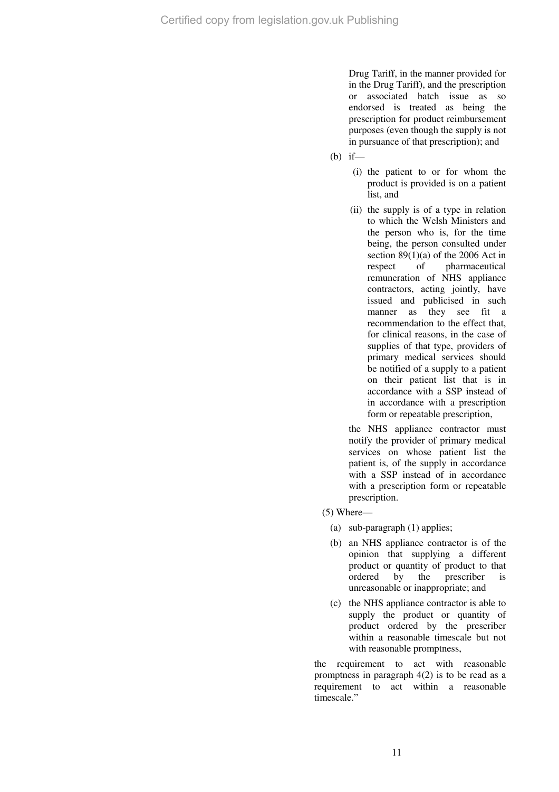Drug Tariff, in the manner provided for in the Drug Tariff), and the prescription or associated batch issue as so endorsed is treated as being the prescription for product reimbursement purposes (even though the supply is not in pursuance of that prescription); and

- (b) if—
	- (i) the patient to or for whom the product is provided is on a patient list, and
	- (ii) the supply is of a type in relation to which the Welsh Ministers and the person who is, for the time being, the person consulted under section  $89(1)(a)$  of the 2006 Act in respect of pharmaceutical remuneration of NHS appliance contractors, acting jointly, have issued and publicised in such manner as they see fit a recommendation to the effect that, for clinical reasons, in the case of supplies of that type, providers of primary medical services should be notified of a supply to a patient on their patient list that is in accordance with a SSP instead of in accordance with a prescription form or repeatable prescription,

the NHS appliance contractor must notify the provider of primary medical services on whose patient list the patient is, of the supply in accordance with a SSP instead of in accordance with a prescription form or repeatable prescription.

- (5) Where—
	- (a) sub-paragraph (1) applies;
	- (b) an NHS appliance contractor is of the opinion that supplying a different product or quantity of product to that<br>ordered by the prescriber is ordered by the prescriber is unreasonable or inappropriate; and
	- (c) the NHS appliance contractor is able to supply the product or quantity of product ordered by the prescriber within a reasonable timescale but not with reasonable promptness,

the requirement to act with reasonable promptness in paragraph 4(2) is to be read as a requirement to act within a reasonable timescale."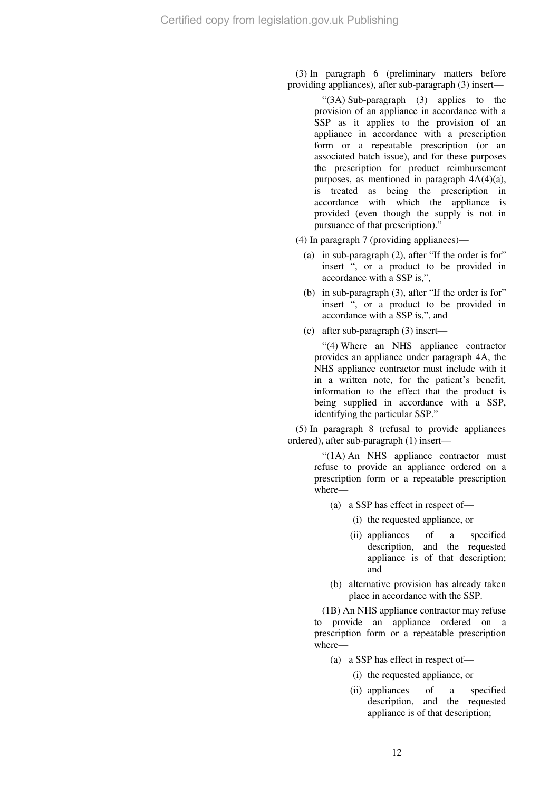(3) In paragraph 6 (preliminary matters before providing appliances), after sub-paragraph (3) insert—

> "(3A) Sub-paragraph (3) applies to the provision of an appliance in accordance with a SSP as it applies to the provision of an appliance in accordance with a prescription form or a repeatable prescription (or an associated batch issue), and for these purposes the prescription for product reimbursement purposes, as mentioned in paragraph 4A(4)(a), is treated as being the prescription in accordance with which the appliance is provided (even though the supply is not in pursuance of that prescription)."

- (4) In paragraph 7 (providing appliances)—
	- (a) in sub-paragraph (2), after "If the order is for" insert ", or a product to be provided in accordance with a SSP is,",
	- (b) in sub-paragraph (3), after "If the order is for" insert ", or a product to be provided in accordance with a SSP is,", and
	- (c) after sub-paragraph (3) insert—

"(4) Where an NHS appliance contractor provides an appliance under paragraph 4A, the NHS appliance contractor must include with it in a written note, for the patient's benefit, information to the effect that the product is being supplied in accordance with a SSP, identifying the particular SSP."

(5) In paragraph 8 (refusal to provide appliances ordered), after sub-paragraph (1) insert—

> "(1A) An NHS appliance contractor must refuse to provide an appliance ordered on a prescription form or a repeatable prescription where—

- (a) a SSP has effect in respect of—
	- (i) the requested appliance, or
	- (ii) appliances of a specified description, and the requested appliance is of that description; and
- (b) alternative provision has already taken place in accordance with the SSP.

(1B) An NHS appliance contractor may refuse to provide an appliance ordered on a prescription form or a repeatable prescription where—

- (a) a SSP has effect in respect of—
	- (i) the requested appliance, or
	- (ii) appliances of a specified description, and the requested appliance is of that description;